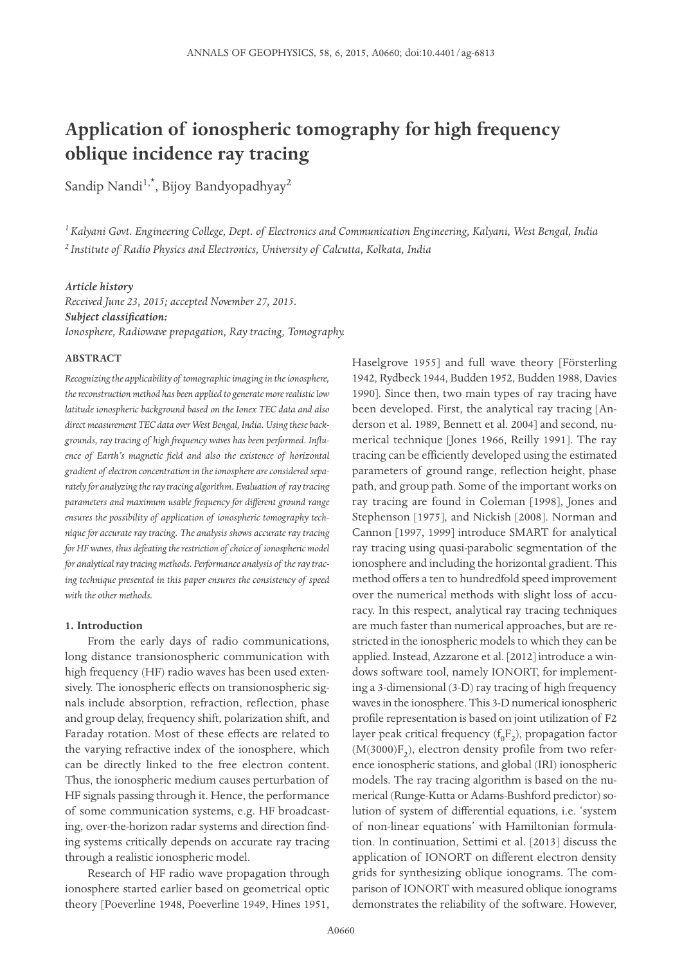# **Application of ionospheric tomography for high frequency oblique incidence ray tracing**

Sandip Nandi<sup>1,\*</sup>, Bijoy Bandyopadhyay<sup>2</sup>

*<sup>1</sup>Kalyani Govt. Engineering College, Dept. of Electronics and Communication Engineering, Kalyani, West Bengal, India <sup>2</sup>Institute of Radio Physics and Electronics, University of Calcutta, Kolkata, India*

## *Article history*

*Received June 23, 2015; accepted November 27, 2015. Subject classification: Ionosphere, Radiowave propagation, Ray tracing, Tomography.*

## **ABSTRACT**

*Recognizing the applicability of tomographic imaging in the ionosphere, the reconstruction method has been applied to generate more realistic low latitude ionospheric background based on the Ionex TEC data and also direct measurement TEC data over West Bengal, India. Using these backgrounds, ray tracing of high frequency waves has been performed. Influence of Earth's magnetic field and also the existence of horizontal gradient of electron concentration in the ionosphere are considered separately for analyzing the ray tracing algorithm. Evaluation of ray tracing parameters and maximum usable frequency for different ground range ensures the possibility of application of ionospheric tomography technique for accurate ray tracing. The analysis shows accurate ray tracing for HF waves, thus defeating the restriction of choice of ionospheric model for analytical ray tracing methods. Performance analysis of the ray tracing technique presented in this paper ensures the consistency of speed with the other methods.*

# **1. Introduction**

From the early days of radio communications, long distance transionospheric communication with high frequency (HF) radio waves has been used extensively. The ionospheric effects on transionospheric signals include absorption, refraction, reflection, phase and group delay, frequency shift, polarization shift, and Faraday rotation. Most of these effects are related to the varying refractive index of the ionosphere, which can be directly linked to the free electron content. Thus, the ionospheric medium causes perturbation of HF signals passing through it. Hence, the performance of some communication systems, e.g. HF broadcasting, over-the-horizon radar systems and direction finding systems critically depends on accurate ray tracing through a realistic ionospheric model.

Research of HF radio wave propagation through ionosphere started earlier based on geometrical optic theory [Poeverline 1948, Poeverline 1949, Hines 1951, Haselgrove 1955] and full wave theory [Försterling 1942, Rydbeck 1944, Budden 1952, Budden 1988, Davies 1990]. Since then, two main types of ray tracing have been developed. First, the analytical ray tracing [Anderson et al. 1989, Bennett et al. 2004] and second, numerical technique [Jones 1966, Reilly 1991]. The ray tracing can be efficiently developed using the estimated parameters of ground range, reflection height, phase path, and group path. Some of the important works on ray tracing are found in Coleman [1998], Jones and Stephenson [1975], and Nickish [2008]. Norman and Cannon [1997, 1999] introduce SMART for analytical ray tracing using quasi-parabolic segmentation of the ionosphere and including the horizontal gradient. This method offers a ten to hundredfold speed improvement over the numerical methods with slight loss of accuracy. In this respect, analytical ray tracing techniques are much faster than numerical approaches, but are restricted in the ionospheric models to which they can be applied. Instead, Azzarone et al. [2012] introduce a windows software tool, namely IONORT, for implementing a 3-dimensional (3-D) ray tracing of high frequency waves in the ionosphere. This 3-D numerical ionospheric profile representation is based on joint utilization of F2 layer peak critical frequency  $(f_0F_2)$ , propagation factor  $(M(3000)F_2)$ , electron density profile from two reference ionospheric stations, and global (IRI) ionospheric models. The ray tracing algorithm is based on the numerical (Runge-Kutta or Adams-Bushford predictor) solution of system of differential equations, i.e. 'system of non-linear equations' with Hamiltonian formulation. In continuation, Settimi et al. [2013] discuss the application of IONORT on different electron density grids for synthesizing oblique ionograms. The comparison of IONORT with measured oblique ionograms demonstrates the reliability of the software. However,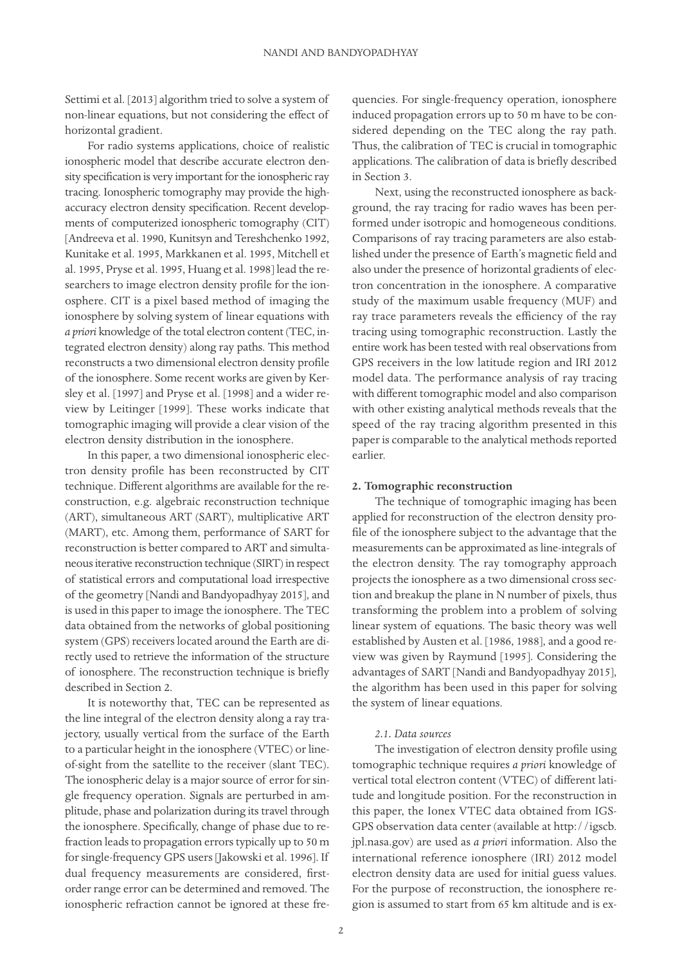Settimi et al. [2013] algorithm tried to solve a system of non-linear equations, but not considering the effect of horizontal gradient.

For radio systems applications, choice of realistic ionospheric model that describe accurate electron density specification is very important for the ionospheric ray tracing. Ionospheric tomography may provide the highaccuracy electron density specification. Recent developments of computerized ionospheric tomography (CIT) [Andreeva et al. 1990, Kunitsyn and Tereshchenko 1992, Kunitake et al. 1995, Markkanen et al. 1995, Mitchell et al. 1995, Pryse et al. 1995, Huang et al. 1998] lead the researchers to image electron density profile for the ionosphere. CIT is a pixel based method of imaging the ionosphere by solving system of linear equations with *a priori* knowledge of the total electron content (TEC, integrated electron density) along ray paths. This method reconstructs a two dimensional electron density profile of the ionosphere. Some recent works are given by Kersley et al. [1997] and Pryse et al. [1998] and a wider review by Leitinger [1999]. These works indicate that tomographic imaging will provide a clear vision of the electron density distribution in the ionosphere.

In this paper, a two dimensional ionospheric electron density profile has been reconstructed by CIT technique. Different algorithms are available for the reconstruction, e.g. algebraic reconstruction technique (ART), simultaneous ART (SART), multiplicative ART (MART), etc. Among them, performance of SART for reconstruction is better compared to ART and simultaneous iterative reconstruction technique (SIRT) in respect of statistical errors and computational load irrespective of the geometry [Nandi and Bandyopadhyay 2015], and is used in this paper to image the ionosphere. The TEC data obtained from the networks of global positioning system (GPS) receivers located around the Earth are directly used to retrieve the information of the structure of ionosphere. The reconstruction technique is briefly described in Section 2.

It is noteworthy that, TEC can be represented as the line integral of the electron density along a ray trajectory, usually vertical from the surface of the Earth to a particular height in the ionosphere (VTEC) or lineof-sight from the satellite to the receiver (slant TEC). The ionospheric delay is a major source of error for single frequency operation. Signals are perturbed in amplitude, phase and polarization during its travel through the ionosphere. Specifically, change of phase due to refraction leads to propagation errors typically up to 50 m for single-frequency GPS users [Jakowski et al. 1996]. If dual frequency measurements are considered, firstorder range error can be determined and removed. The ionospheric refraction cannot be ignored at these frequencies. For single-frequency operation, ionosphere induced propagation errors up to 50 m have to be considered depending on the TEC along the ray path. Thus, the calibration of TEC is crucial in tomographic applications. The calibration of data is briefly described in Section 3.

Next, using the reconstructed ionosphere as background, the ray tracing for radio waves has been performed under isotropic and homogeneous conditions. Comparisons of ray tracing parameters are also established under the presence of Earth's magnetic field and also under the presence of horizontal gradients of electron concentration in the ionosphere. A comparative study of the maximum usable frequency (MUF) and ray trace parameters reveals the efficiency of the ray tracing using tomographic reconstruction. Lastly the entire work has been tested with real observations from GPS receivers in the low latitude region and IRI 2012 model data. The performance analysis of ray tracing with different tomographic model and also comparison with other existing analytical methods reveals that the speed of the ray tracing algorithm presented in this paper is comparable to the analytical methods reported earlier.

# **2. Tomographic reconstruction**

The technique of tomographic imaging has been applied for reconstruction of the electron density profile of the ionosphere subject to the advantage that the measurements can be approximated as line-integrals of the electron density. The ray tomography approach projects the ionosphere as a two dimensional cross section and breakup the plane in N number of pixels, thus transforming the problem into a problem of solving linear system of equations. The basic theory was well established by Austen et al. [1986, 1988], and a good review was given by Raymund [1995]. Considering the advantages of SART [Nandi and Bandyopadhyay 2015], the algorithm has been used in this paper for solving the system of linear equations.

# *2.1. Data sources*

The investigation of electron density profile using tomographic technique requires *a priori* knowledge of vertical total electron content (VTEC) of different latitude and longitude position. For the reconstruction in this paper, the Ionex VTEC data obtained from IGS-GPS observation data center (available at http://igscb. jpl.nasa.gov) are used as *a priori* information. Also the international reference ionosphere (IRI) 2012 model electron density data are used for initial guess values. For the purpose of reconstruction, the ionosphere region is assumed to start from 65 km altitude and is ex-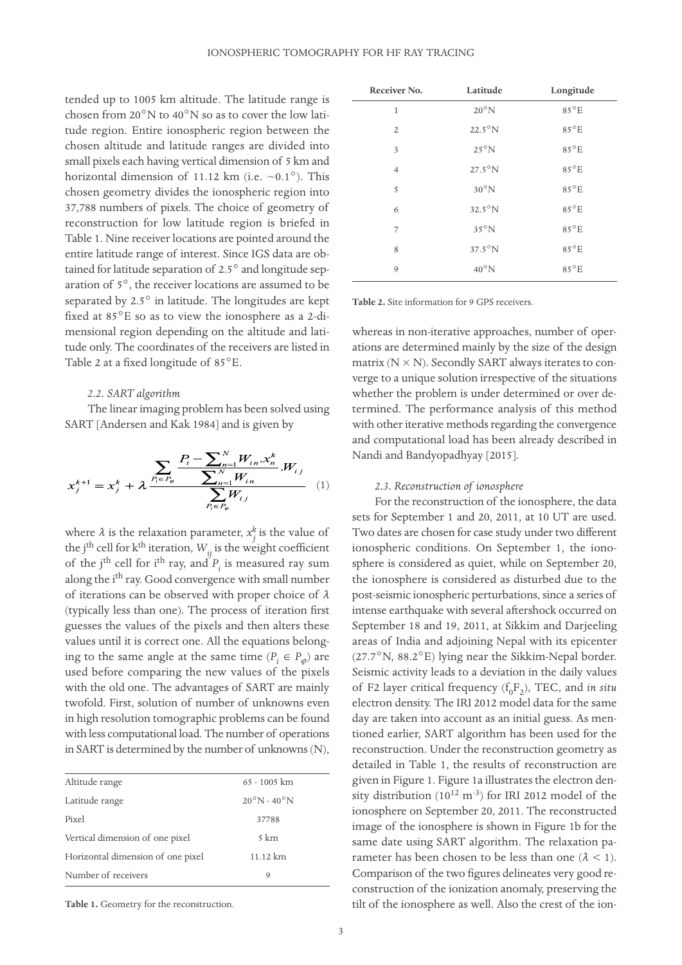tended up to 1005 km altitude. The latitude range is chosen from 20°N to 40°N so as to cover the low latitude region. Entire ionospheric region between the chosen altitude and latitude ranges are divided into small pixels each having vertical dimension of 5 km and horizontal dimension of 11.12 km (i.e.  $\sim 0.1^{\circ}$ ). This chosen geometry divides the ionospheric region into 37,788 numbers of pixels. The choice of geometry of reconstruction for low latitude region is briefed in Table 1. Nine receiver locations are pointed around the entire latitude range of interest. Since IGS data are obtained for latitude separation of 2.5° and longitude separation of 5°, the receiver locations are assumed to be separated by 2.5° in latitude. The longitudes are kept fixed at 85°E so as to view the ionosphere as a 2-dimensional region depending on the altitude and latitude only. The coordinates of the receivers are listed in Table 2 at a fixed longitude of 85°E.

## *2.2. SART algorithm*

The linear imaging problem has been solved using SART [Andersen and Kak 1984] and is given by

$$
x_j^{k+1} = x_j^k + \lambda \frac{\sum_{P_i \in P_{\varphi}} P_i - \sum_{n=1}^N W_{in} \cdot x_n^k}{\sum_{P_i \in P_{\varphi}}^N W_{i,n}} \cdot W_{i,j} \tag{1}
$$

where  $\lambda$  is the relaxation parameter,  $x_i^k$  is the value of where  $\lambda$  is the relaxation parameter,  $x_j$  is the value of the j<sup>th</sup> cell for k<sup>th</sup> iteration,  $W_{ij}$  is the weight coefficient of the j<sup>th</sup> cell for i<sup>th</sup> ray, and  $P_i$  is measured ray sum along the i<sup>th</sup> ray. Good convergence with small number of iterations can be observed with proper choice of  $\lambda$ (typically less than one). The process of iteration first guesses the values of the pixels and then alters these values until it is correct one. All the equations belonging to the same angle at the same time  $(P_i \in P_{\varphi})$  are used before comparing the new values of the pixels with the old one. The advantages of SART are mainly twofold. First, solution of number of unknowns even in high resolution tomographic problems can be found with less computational load. The number of operations in SART is determined by the number of unknowns (N),

| Altitude range                    | $65 - 1005$ km                  |
|-----------------------------------|---------------------------------|
| Latitude range                    | $20^{\circ}$ N - $40^{\circ}$ N |
| Pixel                             | 37788                           |
| Vertical dimension of one pixel   | 5 km                            |
| Horizontal dimension of one pixel | 11.12 km                        |
| Number of receivers               | 9                               |

**Table 1.** Geometry for the reconstruction.

| Receiver No.   | Latitude         | Longitude     |
|----------------|------------------|---------------|
| $\mathbf{1}$   | $20^{\circ}$ N   | 85°E          |
| $\overline{2}$ | $22.5^{\circ}$ N | $85^{\circ}E$ |
| 3              | $25^{\circ}$ N   | $85^{\circ}E$ |
| $\overline{4}$ | $27.5^{\circ}$ N | $85^{\circ}E$ |
| 5              | $30^{\circ}$ N   | 85°E          |
| 6              | $32.5^{\circ}$ N | $85^{\circ}E$ |
| 7              | $35^{\circ}$ N   | $85^{\circ}E$ |
| 8              | $37.5^{\circ}$ N | $85^{\circ}E$ |
| 9              | $40^{\circ}$ N   | $85^{\circ}E$ |

**Table 2.** Site information for 9 GPS receivers.

whereas in non-iterative approaches, number of operations are determined mainly by the size of the design matrix  $(N \times N)$ . Secondly SART always iterates to converge to a unique solution irrespective of the situations whether the problem is under determined or over determined. The performance analysis of this method with other iterative methods regarding the convergence and computational load has been already described in Nandi and Bandyopadhyay [2015].

## *2.3. Reconstruction of ionosphere*

For the reconstruction of the ionosphere, the data sets for September 1 and 20, 2011, at 10 UT are used. Two dates are chosen for case study under two different ionospheric conditions. On September 1, the ionosphere is considered as quiet, while on September 20, the ionosphere is considered as disturbed due to the post-seismic ionospheric perturbations, since a series of intense earthquake with several aftershock occurred on September 18 and 19, 2011, at Sikkim and Darjeeling areas of India and adjoining Nepal with its epicenter (27.7°N, 88.2°E) lying near the Sikkim-Nepal border. Seismic activity leads to a deviation in the daily values of F2 layer critical frequency ( $f_0F_2$ ), TEC, and *in situ* electron density. The IRI 2012 model data for the same day are taken into account as an initial guess. As mentioned earlier, SART algorithm has been used for the reconstruction. Under the reconstruction geometry as detailed in Table 1, the results of reconstruction are given in Figure 1. Figure 1a illustrates the electron density distribution  $(10^{12} \text{ m}^3)$  for IRI 2012 model of the ionosphere on September 20, 2011. The reconstructed image of the ionosphere is shown in Figure 1b for the same date using SART algorithm. The relaxation parameter has been chosen to be less than one  $(\lambda < 1)$ . Comparison of the two figures delineates very good reconstruction of the ionization anomaly, preserving the tilt of the ionosphere as well. Also the crest of the ion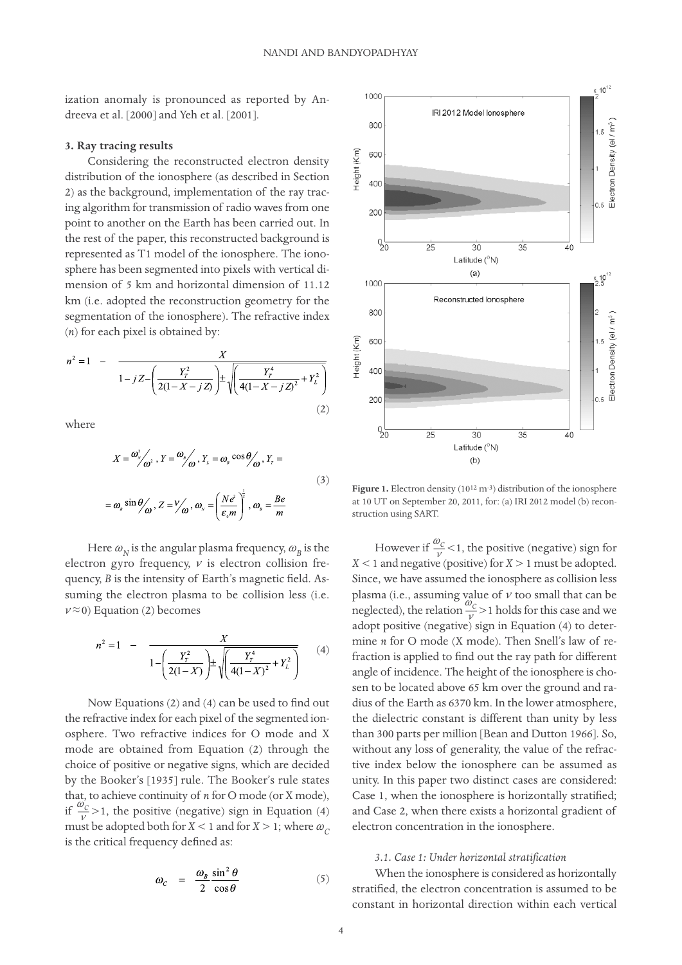ization anomaly is pronounced as reported by Andreeva et al. [2000] and Yeh et al. [2001].

# **3. Ray tracing results**

Considering the reconstructed electron density distribution of the ionosphere (as described in Section 2) as the background, implementation of the ray tracing algorithm for transmission of radio waves from one point to another on the Earth has been carried out. In the rest of the paper, this reconstructed background is represented as T1 model of the ionosphere. The ionosphere has been segmented into pixels with vertical dimension of 5 km and horizontal dimension of 11.12 km (i.e. adopted the reconstruction geometry for the segmentation of the ionosphere). The refractive index (*n*) for each pixel is obtained by:

$$
n^{2} = 1 - \frac{X}{1 - jZ - \left(\frac{Y_{T}^{2}}{2(1 - X - jZ)}\right) \pm \sqrt{\left(\frac{Y_{T}^{4}}{4(1 - X - jZ)^{2}} + Y_{L}^{2}\right)}}
$$
\n(2)

where

$$
X = \frac{\omega_{s}^{2}}{\omega^{2}}, Y = \frac{\omega_{s}}{\omega}, Y_{L} = \omega_{s} \cos \theta_{\omega}, Y_{r} =
$$
  

$$
= \omega_{s} \sin \theta_{\omega}, Z = \frac{V}{\omega}, \omega_{s} = \left(\frac{N e^{2}}{\epsilon_{s} m}\right)^{\frac{1}{2}}, \omega_{s} = \frac{Be}{m}
$$
  
(3)

Here  $\omega_{_N}$  is the angular plasma frequency,  $\omega_{_B}$  is the electron gyro frequency,  $\nu$  is electron collision frequency, *B* is the intensity of Earth's magnetic field. Assuming the electron plasma to be collision less (i.e.  $v \approx 0$ ) Equation (2) becomes

$$
n^{2} = 1 - \frac{X}{1 - \left(\frac{Y_{T}^{2}}{2(1 - X)}\right) \pm \sqrt{\frac{Y_{T}^{4}}{4(1 - X)^{2}} + Y_{L}^{2}}}
$$
(4)

Now Equations (2) and (4) can be used to find out the refractive index for each pixel of the segmented ionosphere. Two refractive indices for O mode and X mode are obtained from Equation (2) through the choice of positive or negative signs, which are decided by the Booker's [1935] rule. The Booker's rule states that, to achieve continuity of *n* for O mode (or X mode), if  $\frac{\omega_c}{v} > 1$ , the positive (negative) sign in Equation (4) must be adopted both for  $X < 1$  and for  $X > 1$ ; where  $\omega_c$ is the critical frequency defined as:

$$
\omega_C = \frac{\omega_B}{2} \frac{\sin^2 \theta}{\cos \theta} \tag{5}
$$



Figure 1. Electron density (10<sup>12</sup> m<sup>-3</sup>) distribution of the ionosphere at 10 UT on September 20, 2011, for: (a) IRI 2012 model (b) reconstruction using SART.

However if  $\frac{\omega_c}{\nu}$  < 1, the positive (negative) sign for  $X < 1$  and negative (positive) for  $X > 1$  must be adopted. Since, we have assumed the ionosphere as collision less plasma (i.e., assuming value of  $\nu$  too small that can be neglected), the relation  $\frac{\omega_c}{v} > 1$  holds for this case and we adopt positive (negative) sign in Equation (4) to determine *n* for O mode (X mode). Then Snell's law of refraction is applied to find out the ray path for different angle of incidence. The height of the ionosphere is chosen to be located above 65 km over the ground and radius of the Earth as 6370 km. In the lower atmosphere, the dielectric constant is different than unity by less than 300 parts per million [Bean and Dutton 1966]. So, without any loss of generality, the value of the refractive index below the ionosphere can be assumed as unity. In this paper two distinct cases are considered: Case 1, when the ionosphere is horizontally stratified; and Case 2, when there exists a horizontal gradient of electron concentration in the ionosphere.

# *3.1. Case 1: Under horizontal stratification*

When the ionosphere is considered as horizontally stratified, the electron concentration is assumed to be constant in horizontal direction within each vertical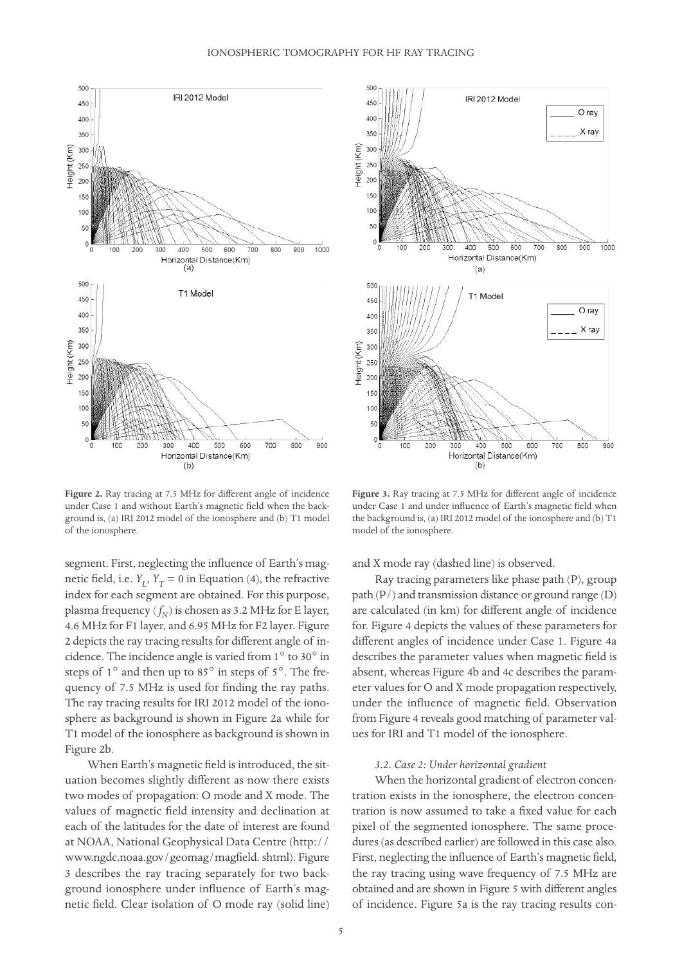

**Figure 2.** Ray tracing at 7.5 MHz for different angle of incidence under Case 1 and without Earth's magnetic field when the background is, (a) IRI 2012 model of the ionosphere and (b) T1 model of the ionosphere.

segment. First, neglecting the influence of Earth's magnetic field, i.e.  $Y_L$ ,  $Y_T = 0$  in Equation (4), the refractive index for each segment are obtained. For this purpose, plasma frequency  $(f_N)$  is chosen as 3.2 MHz for E layer, 4.6 MHz for F1 layer, and 6.95 MHz for F2 layer. Figure 2 depicts the ray tracing results for different angle of incidence. The incidence angle is varied from 1° to 30° in steps of 1° and then up to 85° in steps of 5°. The frequency of 7.5 MHz is used for finding the ray paths. The ray tracing results for IRI 2012 model of the ionosphere as background is shown in Figure 2a while for T1 model of the ionosphere as background is shown in Figure 2b.

When Earth's magnetic field is introduced, the situation becomes slightly different as now there exists two modes of propagation: O mode and X mode. The values of magnetic field intensity and declination at each of the latitudes for the date of interest are found at NOAA, National Geophysical Data Centre (http:// www.ngdc.noaa.gov/geomag/magfield. shtml). Figure 3 describes the ray tracing separately for two background ionosphere under influence of Earth's magnetic field. Clear isolation of O mode ray (solid line)



**Figure 3.** Ray tracing at 7.5 MHz for different angle of incidence under Case 1 and under influence of Earth's magnetic field when the background is, (a) IRI 2012 model of the ionosphere and (b) T1 model of the ionosphere.

and X mode ray (dashed line) is observed.

Ray tracing parameters like phase path (P), group path (P/) and transmission distance or ground range (D) are calculated (in km) for different angle of incidence for. Figure 4 depicts the values of these parameters for different angles of incidence under Case 1. Figure 4a describes the parameter values when magnetic field is absent, whereas Figure 4b and 4c describes the parameter values for O and X mode propagation respectively, under the influence of magnetic field. Observation from Figure 4 reveals good matching of parameter values for IRI and T1 model of the ionosphere.

# *3.2. Case 2: Under horizontal gradient*

When the horizontal gradient of electron concentration exists in the ionosphere, the electron concentration is now assumed to take a fixed value for each pixel of the segmented ionosphere. The same procedures (as described earlier) are followed in this case also. First, neglecting the influence of Earth's magnetic field, the ray tracing using wave frequency of 7.5 MHz are obtained and are shown in Figure 5 with different angles of incidence. Figure 5a is the ray tracing results con-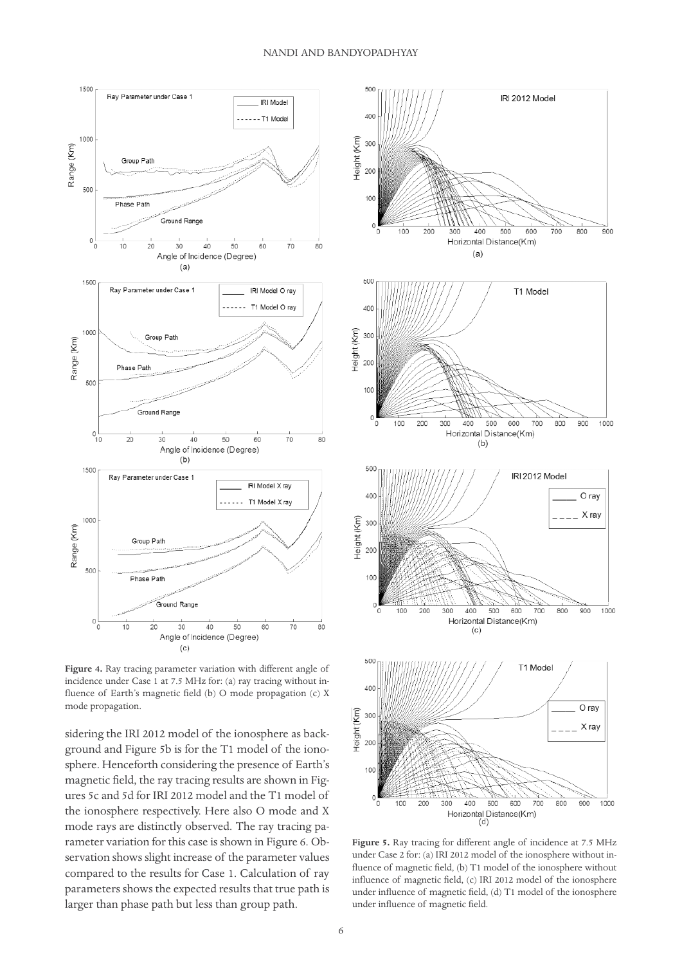

**Figure 4.** Ray tracing parameter variation with different angle of incidence under Case 1 at 7.5 MHz for: (a) ray tracing without influence of Earth's magnetic field (b) O mode propagation (c) X mode propagation.

sidering the IRI 2012 model of the ionosphere as background and Figure 5b is for the T1 model of the ionosphere. Henceforth considering the presence of Earth's magnetic field, the ray tracing results are shown in Figures 5c and 5d for IRI 2012 model and the T1 model of the ionosphere respectively. Here also O mode and X mode rays are distinctly observed. The ray tracing parameter variation for this case is shown in Figure 6. Observation shows slight increase of the parameter values compared to the results for Case 1. Calculation of ray parameters shows the expected results that true path is larger than phase path but less than group path.



**Figure 5.** Ray tracing for different angle of incidence at 7.5 MHz under Case 2 for: (a) IRI 2012 model of the ionosphere without influence of magnetic field, (b) T1 model of the ionosphere without influence of magnetic field, (c) IRI 2012 model of the ionosphere under influence of magnetic field, (d) T1 model of the ionosphere under influence of magnetic field.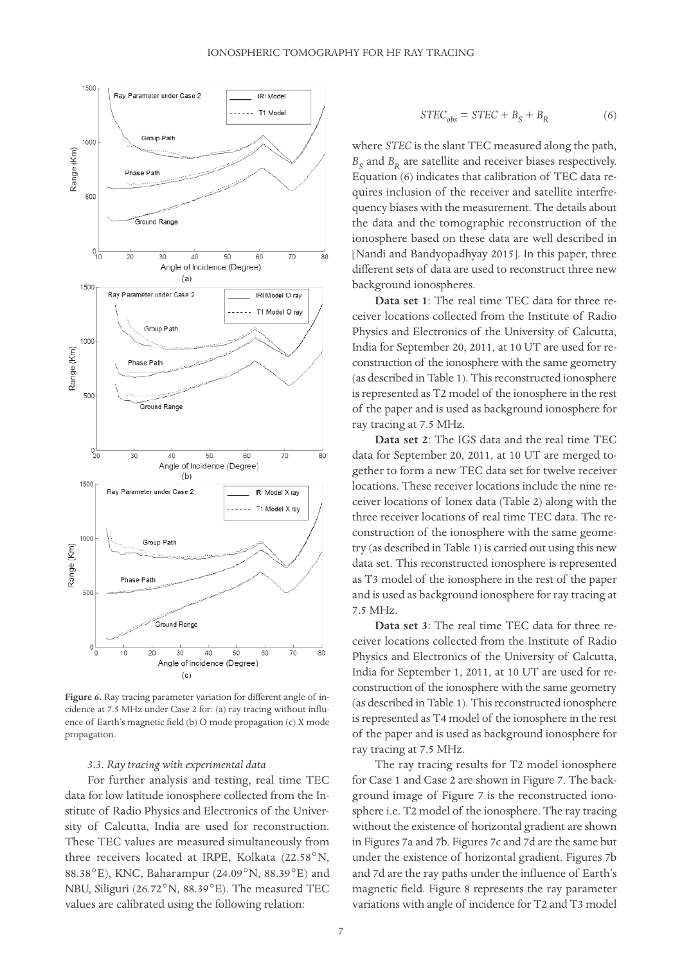

**Figure 6.** Ray tracing parameter variation for different angle of incidence at 7.5 MHz under Case 2 for: (a) ray tracing without influence of Earth's magnetic field (b) O mode propagation (c) X mode propagation.

#### *3.3. Ray tracing with experimental data*

For further analysis and testing, real time TEC data for low latitude ionosphere collected from the Institute of Radio Physics and Electronics of the University of Calcutta, India are used for reconstruction. These TEC values are measured simultaneously from three receivers located at IRPE, Kolkata (22.58°N, 88.38°E), KNC, Baharampur (24.09°N, 88.39°E) and NBU, Siliguri (26.72°N, 88.39°E). The measured TEC values are calibrated using the following relation:

$$
STEC_{obs} = STEC + B_S + B_R \tag{6}
$$

where *STEC* is the slant TEC measured along the path,  $B_S$  and  $B_R$  are satellite and receiver biases respectively. Equation (6) indicates that calibration of TEC data requires inclusion of the receiver and satellite interfrequency biases with the measurement. The details about the data and the tomographic reconstruction of the ionosphere based on these data are well described in [Nandi and Bandyopadhyay 2015]. In this paper, three different sets of data are used to reconstruct three new background ionospheres.

**Data set 1**: The real time TEC data for three receiver locations collected from the Institute of Radio Physics and Electronics of the University of Calcutta, India for September 20, 2011, at 10 UT are used for reconstruction of the ionosphere with the same geometry (as described in Table 1). This reconstructed ionosphere is represented as T2 model of the ionosphere in the rest of the paper and is used as background ionosphere for ray tracing at 7.5 MHz.

**Data set 2**: The IGS data and the real time TEC data for September 20, 2011, at 10 UT are merged together to form a new TEC data set for twelve receiver locations. These receiver locations include the nine receiver locations of Ionex data (Table 2) along with the three receiver locations of real time TEC data. The reconstruction of the ionosphere with the same geometry (as described in Table 1) is carried out using this new data set. This reconstructed ionosphere is represented as T3 model of the ionosphere in the rest of the paper and is used as background ionosphere for ray tracing at 7.5 MHz.

**Data set 3**: The real time TEC data for three receiver locations collected from the Institute of Radio Physics and Electronics of the University of Calcutta, India for September 1, 2011, at 10 UT are used for reconstruction of the ionosphere with the same geometry (as described in Table 1). This reconstructed ionosphere is represented as T4 model of the ionosphere in the rest of the paper and is used as background ionosphere for ray tracing at 7.5 MHz.

The ray tracing results for T2 model ionosphere for Case 1 and Case 2 are shown in Figure 7. The background image of Figure 7 is the reconstructed ionosphere i.e. T2 model of the ionosphere. The ray tracing without the existence of horizontal gradient are shown in Figures 7a and 7b. Figures 7c and 7d are the same but under the existence of horizontal gradient. Figures 7b and 7d are the ray paths under the influence of Earth's magnetic field. Figure 8 represents the ray parameter variations with angle of incidence for T2 and T3 model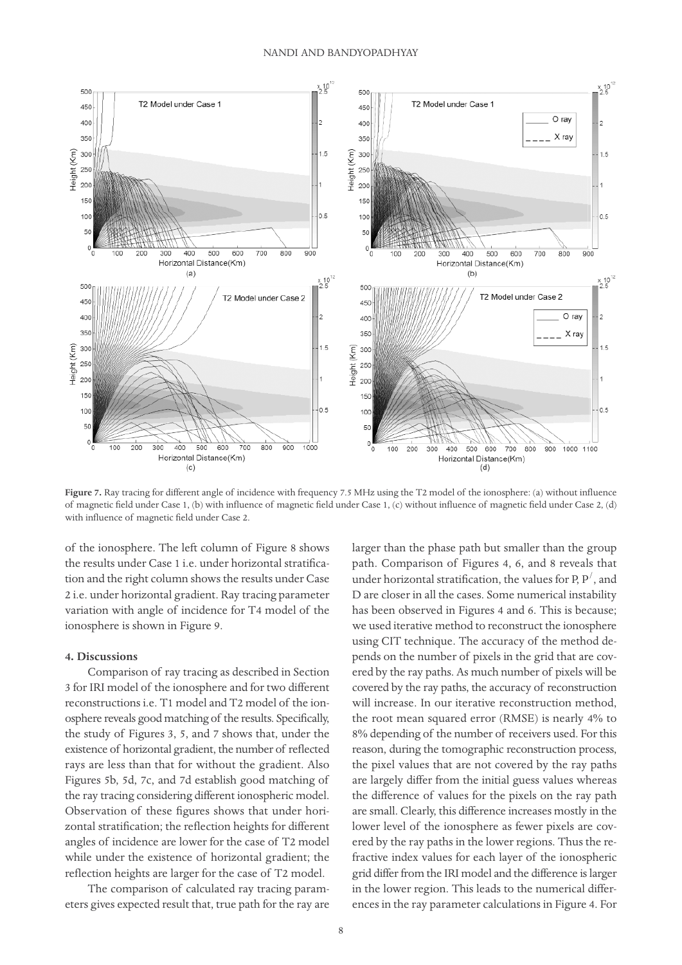

**Figure 7.** Ray tracing for different angle of incidence with frequency 7.5 MHz using the T2 model of the ionosphere: (a) without influence of magnetic field under Case 1, (b) with influence of magnetic field under Case 1, (c) without influence of magnetic field under Case 2, (d) with influence of magnetic field under Case 2.

of the ionosphere. The left column of Figure 8 shows the results under Case 1 i.e. under horizontal stratification and the right column shows the results under Case 2 i.e. under horizontal gradient. Ray tracing parameter variation with angle of incidence for T4 model of the ionosphere is shown in Figure 9.

## **4. Discussions**

Comparison of ray tracing as described in Section 3 for IRI model of the ionosphere and for two different reconstructions i.e. T1 model and T2 model of the ionosphere reveals good matching of the results. Specifically, the study of Figures 3, 5, and 7 shows that, under the existence of horizontal gradient, the number of reflected rays are less than that for without the gradient. Also Figures 5b, 5d, 7c, and 7d establish good matching of the ray tracing considering different ionospheric model. Observation of these figures shows that under horizontal stratification; the reflection heights for different angles of incidence are lower for the case of T2 model while under the existence of horizontal gradient; the reflection heights are larger for the case of T2 model.

The comparison of calculated ray tracing parameters gives expected result that, true path for the ray are larger than the phase path but smaller than the group path. Comparison of Figures 4, 6, and 8 reveals that under horizontal stratification, the values for P,  $P'$  , and D are closer in all the cases. Some numerical instability has been observed in Figures 4 and 6. This is because; we used iterative method to reconstruct the ionosphere using CIT technique. The accuracy of the method depends on the number of pixels in the grid that are covered by the ray paths. As much number of pixels will be covered by the ray paths, the accuracy of reconstruction will increase. In our iterative reconstruction method, the root mean squared error (RMSE) is nearly 4% to 8% depending of the number of receivers used. For this reason, during the tomographic reconstruction process, the pixel values that are not covered by the ray paths are largely differ from the initial guess values whereas the difference of values for the pixels on the ray path are small. Clearly, this difference increases mostly in the lower level of the ionosphere as fewer pixels are covered by the ray paths in the lower regions. Thus the refractive index values for each layer of the ionospheric grid differ from the IRI model and the difference is larger in the lower region. This leads to the numerical differences in the ray parameter calculations in Figure 4. For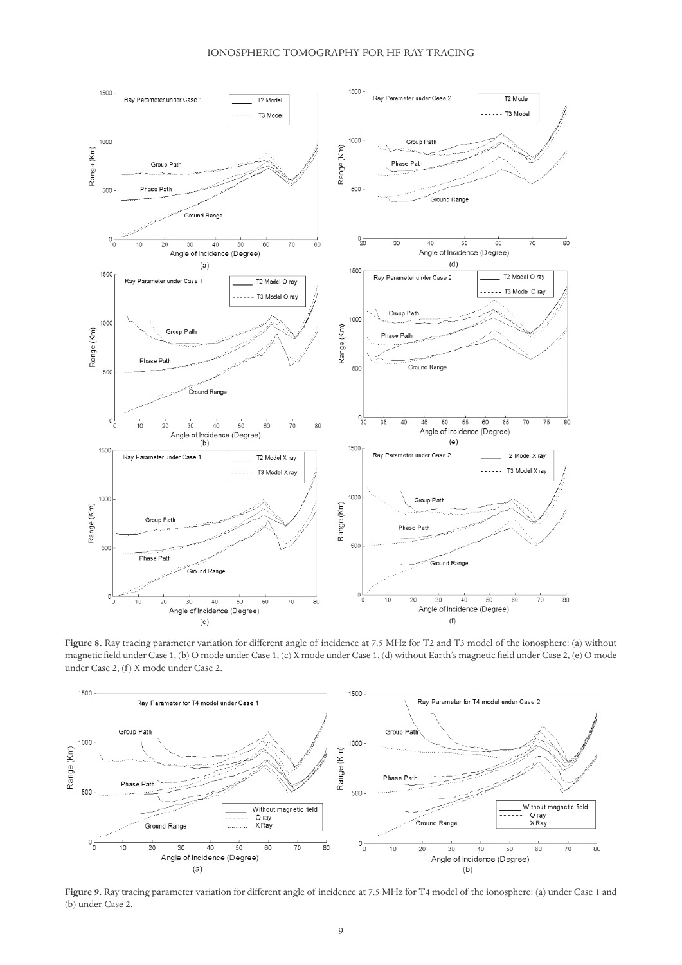

**Figure 8.** Ray tracing parameter variation for different angle of incidence at 7.5 MHz for T2 and T3 model of the ionosphere: (a) without magnetic field under Case 1, (b) O mode under Case 1, (c) X mode under Case 1, (d) without Earth's magnetic field under Case 2, (e) O mode under Case 2, (f) X mode under Case 2.



**Figure 9.** Ray tracing parameter variation for different angle of incidence at 7.5 MHz for T4 model of the ionosphere: (a) under Case 1 and (b) under Case 2.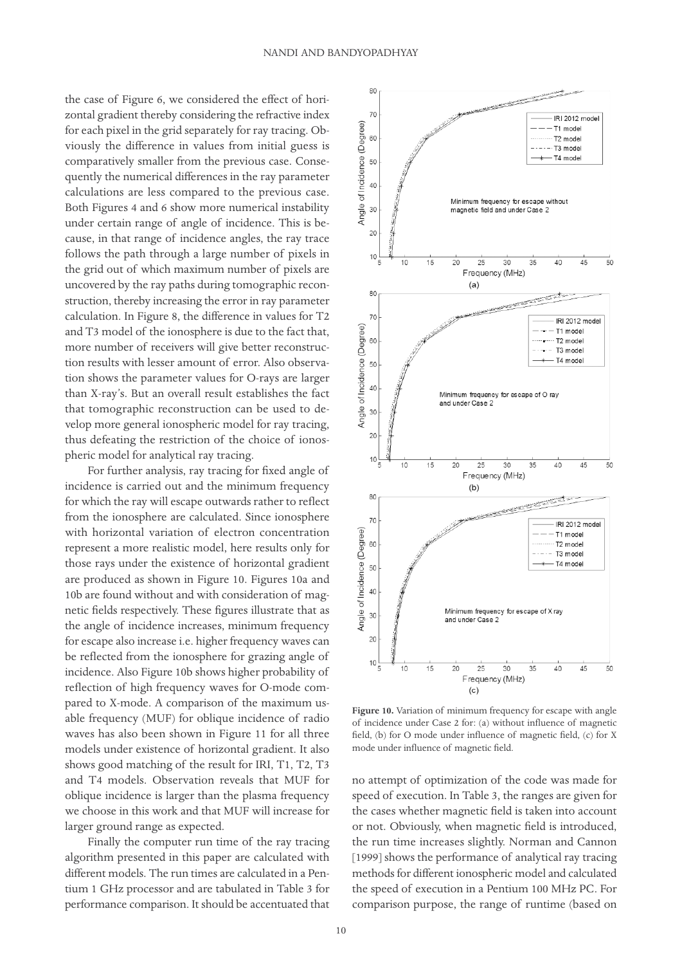the case of Figure 6, we considered the effect of horizontal gradient thereby considering the refractive index for each pixel in the grid separately for ray tracing. Obviously the difference in values from initial guess is comparatively smaller from the previous case. Consequently the numerical differences in the ray parameter calculations are less compared to the previous case. Both Figures 4 and 6 show more numerical instability under certain range of angle of incidence. This is because, in that range of incidence angles, the ray trace follows the path through a large number of pixels in the grid out of which maximum number of pixels are uncovered by the ray paths during tomographic reconstruction, thereby increasing the error in ray parameter calculation. In Figure 8, the difference in values for T2 and T3 model of the ionosphere is due to the fact that, more number of receivers will give better reconstruction results with lesser amount of error. Also observation shows the parameter values for O-rays are larger than X-ray's. But an overall result establishes the fact that tomographic reconstruction can be used to develop more general ionospheric model for ray tracing, thus defeating the restriction of the choice of ionospheric model for analytical ray tracing.

For further analysis, ray tracing for fixed angle of incidence is carried out and the minimum frequency for which the ray will escape outwards rather to reflect from the ionosphere are calculated. Since ionosphere with horizontal variation of electron concentration represent a more realistic model, here results only for those rays under the existence of horizontal gradient are produced as shown in Figure 10. Figures 10a and 10b are found without and with consideration of magnetic fields respectively. These figures illustrate that as the angle of incidence increases, minimum frequency for escape also increase i.e. higher frequency waves can be reflected from the ionosphere for grazing angle of incidence. Also Figure 10b shows higher probability of reflection of high frequency waves for O-mode compared to X-mode. A comparison of the maximum usable frequency (MUF) for oblique incidence of radio waves has also been shown in Figure 11 for all three models under existence of horizontal gradient. It also shows good matching of the result for IRI, T1, T2, T3 and T4 models. Observation reveals that MUF for oblique incidence is larger than the plasma frequency we choose in this work and that MUF will increase for larger ground range as expected.

Finally the computer run time of the ray tracing algorithm presented in this paper are calculated with different models. The run times are calculated in a Pentium 1 GHz processor and are tabulated in Table 3 for performance comparison. It should be accentuated that



**Figure 10.** Variation of minimum frequency for escape with angle of incidence under Case 2 for: (a) without influence of magnetic field, (b) for O mode under influence of magnetic field, (c) for X mode under influence of magnetic field.

no attempt of optimization of the code was made for speed of execution. In Table 3, the ranges are given for the cases whether magnetic field is taken into account or not. Obviously, when magnetic field is introduced, the run time increases slightly. Norman and Cannon [1999] shows the performance of analytical ray tracing methods for different ionospheric model and calculated the speed of execution in a Pentium 100 MHz PC. For comparison purpose, the range of runtime (based on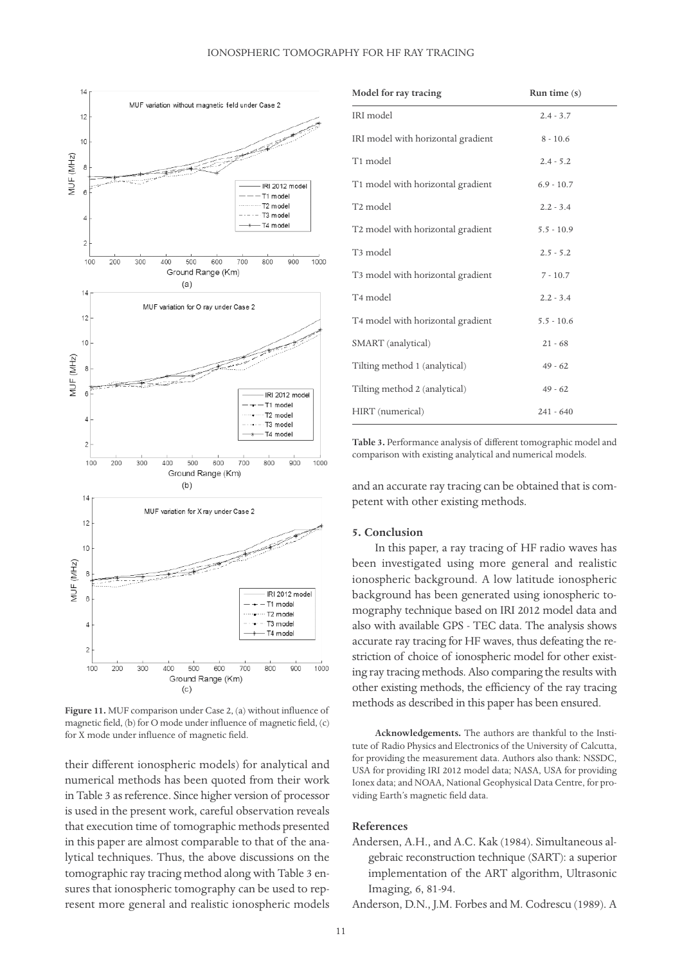

**Figure 11.** MUF comparison under Case 2, (a) without influence of magnetic field, (b) for O mode under influence of magnetic field, (c) for X mode under influence of magnetic field.

their different ionospheric models) for analytical and numerical methods has been quoted from their work in Table 3 as reference. Since higher version of processor is used in the present work, careful observation reveals that execution time of tomographic methods presented in this paper are almost comparable to that of the analytical techniques. Thus, the above discussions on the tomographic ray tracing method along with Table 3 ensures that ionospheric tomography can be used to represent more general and realistic ionospheric models

| Model for ray tracing                         | Run time $(s)$ |
|-----------------------------------------------|----------------|
| IRI model                                     | $2.4 - 3.7$    |
| IRI model with horizontal gradient            | $8 - 10.6$     |
| T1 model                                      | $2.4 - 5.2$    |
| T1 model with horizontal gradient             | $6.9 - 10.7$   |
| T2 model                                      | $2.2 - 3.4$    |
| T2 model with horizontal gradient             | $5.5 - 10.9$   |
| T <sub>3</sub> model                          | $2.5 - 5.2$    |
| T <sub>3</sub> model with horizontal gradient | $7 - 10.7$     |
| T <sub>4</sub> model                          | $2.2 - 3.4$    |
| T4 model with horizontal gradient             | $5.5 - 10.6$   |
| SMART (analytical)                            | $21 - 68$      |
| Tilting method 1 (analytical)                 | $49 - 62$      |
| Tilting method 2 (analytical)                 | $49 - 62$      |
| HIRT (numerical)                              | $241 - 640$    |

**Table 3.** Performance analysis of different tomographic model and comparison with existing analytical and numerical models.

and an accurate ray tracing can be obtained that is competent with other existing methods.

## **5. Conclusion**

In this paper, a ray tracing of HF radio waves has been investigated using more general and realistic ionospheric background. A low latitude ionospheric background has been generated using ionospheric tomography technique based on IRI 2012 model data and also with available GPS - TEC data. The analysis shows accurate ray tracing for HF waves, thus defeating the restriction of choice of ionospheric model for other existing ray tracing methods. Also comparing the results with other existing methods, the efficiency of the ray tracing methods as described in this paper has been ensured.

**Acknowledgements.** The authors are thankful to the Institute of Radio Physics and Electronics of the University of Calcutta, for providing the measurement data. Authors also thank: NSSDC, USA for providing IRI 2012 model data; NASA, USA for providing Ionex data; and NOAA, National Geophysical Data Centre, for providing Earth's magnetic field data.

## **References**

- Andersen, A.H., and A.C. Kak (1984). Simultaneous algebraic reconstruction technique (SART): a superior implementation of the ART algorithm, Ultrasonic Imaging, 6, 81-94.
- Anderson, D.N., J.M. Forbes and M. Codrescu (1989). A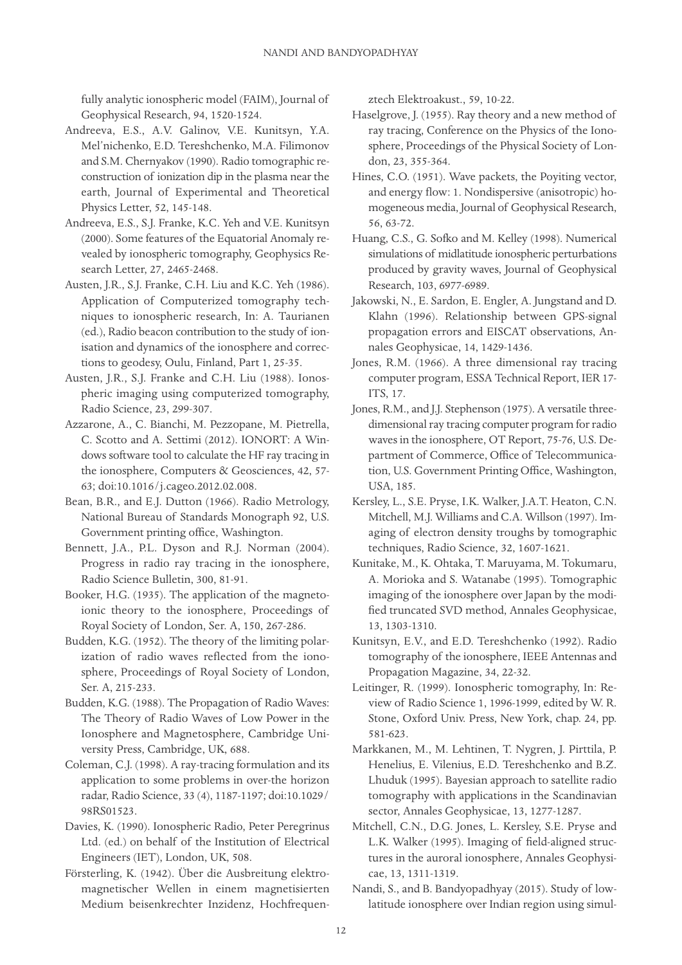fully analytic ionospheric model (FAIM), Journal of Geophysical Research, 94, 1520-1524.

- Andreeva, E.S., A.V. Galinov, V.E. Kunitsyn, Y.A. Mel'nichenko, E.D. Tereshchenko, M.A. Filimonov and S.M. Chernyakov (1990). Radio tomographic reconstruction of ionization dip in the plasma near the earth, Journal of Experimental and Theoretical Physics Letter, 52, 145-148.
- Andreeva, E.S., S.J. Franke, K.C. Yeh and V.E. Kunitsyn (2000). Some features of the Equatorial Anomaly revealed by ionospheric tomography, Geophysics Research Letter, 27, 2465-2468.
- Austen, J.R., S.J. Franke, C.H. Liu and K.C. Yeh (1986). Application of Computerized tomography techniques to ionospheric research, In: A. Taurianen (ed.), Radio beacon contribution to the study of ionisation and dynamics of the ionosphere and corrections to geodesy, Oulu, Finland, Part 1, 25-35.
- Austen, J.R., S.J. Franke and C.H. Liu (1988). Ionospheric imaging using computerized tomography, Radio Science, 23, 299-307.
- Azzarone, A., C. Bianchi, M. Pezzopane, M. Pietrella, C. Scotto and A. Settimi (2012). IONORT: A Windows software tool to calculate the HF ray tracing in the ionosphere, Computers & Geosciences, 42, 57- 63; doi:10.1016/j.cageo.2012.02.008.
- Bean, B.R., and E.J. Dutton (1966). Radio Metrology, National Bureau of Standards Monograph 92, U.S. Government printing office, Washington.
- Bennett, J.A., P.L. Dyson and R.J. Norman (2004). Progress in radio ray tracing in the ionosphere, Radio Science Bulletin, 300, 81-91.
- Booker, H.G. (1935). The application of the magnetoionic theory to the ionosphere, Proceedings of Royal Society of London, Ser. A, 150, 267-286.
- Budden, K.G. (1952). The theory of the limiting polarization of radio waves reflected from the ionosphere, Proceedings of Royal Society of London, Ser. A, 215-233.
- Budden, K.G. (1988). The Propagation of Radio Waves: The Theory of Radio Waves of Low Power in the Ionosphere and Magnetosphere, Cambridge University Press, Cambridge, UK, 688.
- Coleman, C.J. (1998). A ray-tracing formulation and its application to some problems in over-the horizon radar, Radio Science, 33 (4), 1187-1197; doi:10.1029/ 98RS01523.
- Davies, K. (1990). Ionospheric Radio, Peter Peregrinus Ltd. (ed.) on behalf of the Institution of Electrical Engineers (IET), London, UK, 508.
- Försterling, K. (1942). Über die Ausbreitung elektromagnetischer Wellen in einem magnetisierten Medium beisenkrechter Inzidenz, Hochfrequen-

ztech Elektroakust., 59, 10-22.

- Haselgrove, J. (1955). Ray theory and a new method of ray tracing, Conference on the Physics of the Ionosphere, Proceedings of the Physical Society of London, 23, 355-364.
- Hines, C.O. (1951). Wave packets, the Poyiting vector, and energy flow: 1. Nondispersive (anisotropic) homogeneous media, Journal of Geophysical Research, 56, 63-72.
- Huang, C.S., G. Sofko and M. Kelley (1998). Numerical simulations of midlatitude ionospheric perturbations produced by gravity waves, Journal of Geophysical Research, 103, 6977-6989.
- Jakowski, N., E. Sardon, E. Engler, A. Jungstand and D. Klahn (1996). Relationship between GPS-signal propagation errors and EISCAT observations, Annales Geophysicae, 14, 1429-1436.
- Jones, R.M. (1966). A three dimensional ray tracing computer program, ESSA Technical Report, IER 17- ITS, 17.
- Jones, R.M., and J.J. Stephenson (1975). A versatile threedimensional ray tracing computer program for radio waves in the ionosphere, OT Report, 75-76, U.S. Department of Commerce, Office of Telecommunication, U.S. Government Printing Office, Washington, USA, 185.
- Kersley, L., S.E. Pryse, I.K. Walker, J.A.T. Heaton, C.N. Mitchell, M.J. Williams and C.A. Willson (1997). Imaging of electron density troughs by tomographic techniques, Radio Science, 32, 1607-1621.
- Kunitake, M., K. Ohtaka, T. Maruyama, M. Tokumaru, A. Morioka and S. Watanabe (1995). Tomographic imaging of the ionosphere over Japan by the modified truncated SVD method, Annales Geophysicae, 13, 1303-1310.
- Kunitsyn, E.V., and E.D. Tereshchenko (1992). Radio tomography of the ionosphere, IEEE Antennas and Propagation Magazine, 34, 22-32.
- Leitinger, R. (1999). Ionospheric tomography, In: Review of Radio Science 1, 1996-1999, edited by W. R. Stone, Oxford Univ. Press, New York, chap. 24, pp. 581-623.
- Markkanen, M., M. Lehtinen, T. Nygren, J. Pirttila, P. Henelius, E. Vilenius, E.D. Tereshchenko and B.Z. Lhuduk (1995). Bayesian approach to satellite radio tomography with applications in the Scandinavian sector, Annales Geophysicae, 13, 1277-1287.
- Mitchell, C.N., D.G. Jones, L. Kersley, S.E. Pryse and L.K. Walker (1995). Imaging of field-aligned structures in the auroral ionosphere, Annales Geophysicae, 13, 1311-1319.
- Nandi, S., and B. Bandyopadhyay (2015). Study of lowlatitude ionosphere over Indian region using simul-